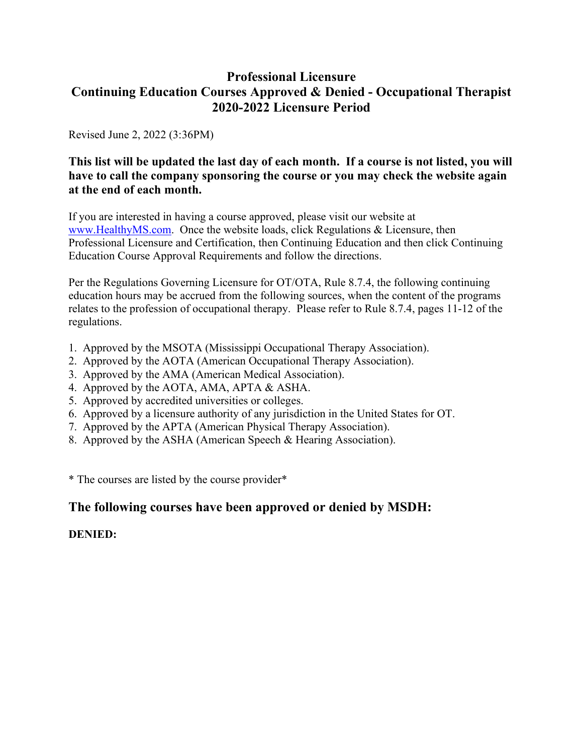## **Professional Licensure Continuing Education Courses Approved & Denied - Occupational Therapist 2020-2022 Licensure Period**

Revised June 2, 2022 (3:36PM)

## **This list will be updated the last day of each month. If a course is not listed, you will have to call the company sponsoring the course or you may check the website again at the end of each month.**

If you are interested in having a course approved, please visit our website at [www.HealthyMS.com.](http://www.healthyms.com/) Once the website loads, click Regulations & Licensure, then Professional Licensure and Certification, then Continuing Education and then click Continuing Education Course Approval Requirements and follow the directions.

Per the Regulations Governing Licensure for OT/OTA, Rule 8.7.4, the following continuing education hours may be accrued from the following sources, when the content of the programs relates to the profession of occupational therapy. Please refer to Rule 8.7.4, pages 11-12 of the regulations.

- 1. Approved by the MSOTA (Mississippi Occupational Therapy Association).
- 2. Approved by the AOTA (American Occupational Therapy Association).
- 3. Approved by the AMA (American Medical Association).
- 4. Approved by the AOTA, AMA, APTA & ASHA.
- 5. Approved by accredited universities or colleges.
- 6. Approved by a licensure authority of any jurisdiction in the United States for OT.
- 7. Approved by the APTA (American Physical Therapy Association).
- 8. Approved by the ASHA (American Speech & Hearing Association).

\* The courses are listed by the course provider\*

# **The following courses have been approved or denied by MSDH:**

## **DENIED:**